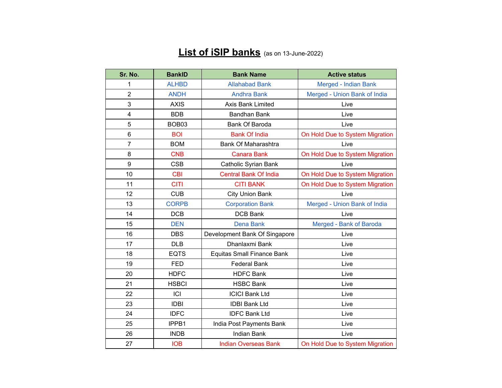## **List of iSIP banks** (as on 13-June-2022)

| Sr. No.        | <b>BankID</b> | <b>Bank Name</b>                  | <b>Active status</b>            |
|----------------|---------------|-----------------------------------|---------------------------------|
| 1              | <b>ALHBD</b>  | <b>Allahabad Bank</b>             | Merged - Indian Bank            |
| $\overline{2}$ | <b>ANDH</b>   | <b>Andhra Bank</b>                | Merged - Union Bank of India    |
| 3              | <b>AXIS</b>   | <b>Axis Bank Limited</b>          | Live                            |
| 4              | <b>BDB</b>    | <b>Bandhan Bank</b>               | Live                            |
| 5              | BOB03         | <b>Bank Of Baroda</b>             | Live                            |
| 6              | <b>BOI</b>    | <b>Bank Of India</b>              | On Hold Due to System Migration |
| $\overline{7}$ | <b>BOM</b>    | Bank Of Maharashtra               | Live                            |
| 8              | <b>CNB</b>    | <b>Canara Bank</b>                | On Hold Due to System Migration |
| 9              | <b>CSB</b>    | <b>Catholic Syrian Bank</b>       | Live                            |
| 10             | <b>CBI</b>    | <b>Central Bank Of India</b>      | On Hold Due to System Migration |
| 11             | <b>CITI</b>   | <b>CITI BANK</b>                  | On Hold Due to System Migration |
| 12             | <b>CUB</b>    | <b>City Union Bank</b>            | Live                            |
| 13             | <b>CORPB</b>  | <b>Corporation Bank</b>           | Merged - Union Bank of India    |
| 14             | <b>DCB</b>    | <b>DCB Bank</b>                   | Live                            |
| 15             | <b>DEN</b>    | <b>Dena Bank</b>                  | Merged - Bank of Baroda         |
| 16             | <b>DBS</b>    | Development Bank Of Singapore     | Live                            |
| 17             | <b>DLB</b>    | Dhanlaxmi Bank                    | Live                            |
| 18             | <b>EQTS</b>   | <b>Equitas Small Finance Bank</b> | Live                            |
| 19             | <b>FED</b>    | <b>Federal Bank</b>               | Live                            |
| 20             | <b>HDFC</b>   | <b>HDFC Bank</b>                  | Live                            |
| 21             | <b>HSBCI</b>  | <b>HSBC Bank</b>                  | Live                            |
| 22             | ICI           | <b>ICICI Bank Ltd</b>             | Live                            |
| 23             | <b>IDBI</b>   | <b>IDBI Bank Ltd</b>              | Live                            |
| 24             | <b>IDFC</b>   | <b>IDFC Bank Ltd</b>              | Live                            |
| 25             | IPPB1         | India Post Payments Bank          | Live                            |
| 26             | <b>INDB</b>   | <b>Indian Bank</b>                | Live                            |
| 27             | <b>IOB</b>    | <b>Indian Overseas Bank</b>       | On Hold Due to System Migration |